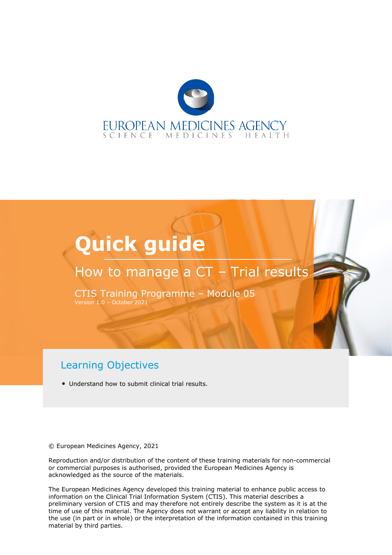

# **Quick guide**

# How to manage a CT - Trial results

CTIS Training Programme – Module 05 Version 1.0 – October 2021

#### Learning Objectives

• Understand how to submit clinical trial results.

© European Medicines Agency, 2021

Reproduction and/or distribution of the content of these training materials for non-commercial or commercial purposes is authorised, provided the European Medicines Agency is acknowledged as the source of the materials.

The European Medicines Agency developed this training material to enhance public access to information on the Clinical Trial Information System (CTIS). This material describes a preliminary version of CTIS and may therefore not entirely describe the system as it is at the time of use of this material. The Agency does not warrant or accept any liability in relation to the use (in part or in whole) or the interpretation of the information contained in this training material by third parties.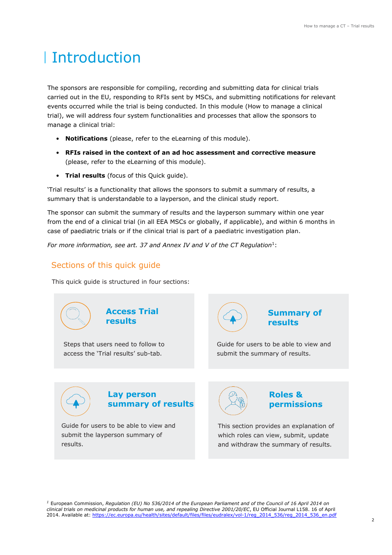# Introduction

The sponsors are responsible for compiling, recording and submitting data for clinical trials carried out in the EU, responding to RFIs sent by MSCs, and submitting notifications for relevant events occurred while the trial is being conducted. In this module (How to manage a clinical trial), we will address four system functionalities and processes that allow the sponsors to manage a clinical trial:

- **Notifications** (please, refer to the eLearning of this module).
- **RFIs raised in the context of an ad hoc assessment and corrective measure** (please, refer to the eLearning of this module).
- **Trial results** (focus of this Quick guide).

'Trial results' is a functionality that allows the sponsors to submit a summary of results, a summary that is understandable to a layperson, and the clinical study report.

The sponsor can submit the summary of results and the layperson summary within one year from the end of a clinical trial (in all EEA MSCs or globally, if applicable), and within 6 months in case of paediatric trials or if the clinical trial is part of a paediatric investigation plan.

For more information, see art. 37 and Annex IV and V of the CT Regulation<sup>1</sup>:

#### Sections of this quick guide

This quick guide is structured in four sections:



*<sup>1</sup>* European Commission, *Regulation (EU) No 536/2014 of the European Parliament and of the Council of 16 April 2014 on clinical trials on medicinal products for human use, and repealing Directive 2001/20/EC*, EU Official Journal L158. 16 of April 2014. Available at: [https://ec.europa.eu/health/sites/default/files/files/eudralex/vol-1/reg\\_2014\\_536/reg\\_2014\\_536\\_en.pdf](https://ec.europa.eu/health/sites/default/files/files/eudralex/vol-1/reg_2014_536/reg_2014_536_en.pdf)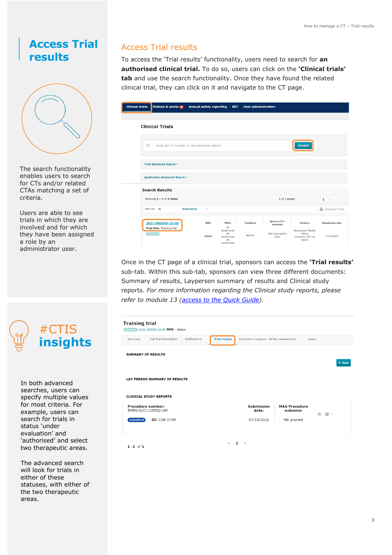# <span id="page-2-0"></span>**Access Trial results**



The search functionality enables users to search for CTs and/or related CTAs matching a set of criteria.

Users are able to see trials in which they are involved and for which they have been assigned a role by an administrator user.



In both advanced searches, users can specify multiple values for most criteria. For example, users can search for trials in status 'under evaluation' and 'authorised' and select two therapeutic areas.

The advanced search will look for trials in either of these statuses, with either of the two therapeutic areas.

#### Access Trial results

To access the 'Trial results' functionality, users need to search for **an authorised clinical trial.** To do so, users can click on the **'Clinical trials' tab** and use the search functionality. Once they have found the related clinical trial, they can click on it and navigate to the CT page.

| linical trials | Notices & alerts 0                               |                  | <b>Annual safety reporting</b>                                            | <b>RFI</b> | <b>User administration</b> |                                   |                                                                     |                        |
|----------------|--------------------------------------------------|------------------|---------------------------------------------------------------------------|------------|----------------------------|-----------------------------------|---------------------------------------------------------------------|------------------------|
|                |                                                  |                  |                                                                           |            |                            |                                   |                                                                     |                        |
|                | <b>Clinical Trials</b>                           |                  |                                                                           |            |                            |                                   |                                                                     |                        |
| Q              | Enter EU CT number or use advanced search        |                  |                                                                           |            |                            |                                   | <b>SEARCH</b>                                                       |                        |
|                | <b>Trial Advanced Search *</b>                   |                  |                                                                           |            |                            |                                   |                                                                     |                        |
|                | <b>Application Advanced Search v</b>             |                  |                                                                           |            |                            |                                   |                                                                     |                        |
|                | <b>Search Results</b>                            |                  |                                                                           |            |                            |                                   |                                                                     |                        |
|                | Showing 1 - 1 of 1 items                         |                  |                                                                           |            |                            | 1 of 1 pages                      |                                                                     | $\leftarrow$ 1 >       |
|                | Sort by: 12                                      | <b>Submitted</b> | $\checkmark$                                                              |            |                            |                                   |                                                                     | Download Trials        |
|                | 2021-500046-10-00<br>Trial title: Training trial |                  | <b>RMS</b><br><b>MSCs</b><br>AT                                           |            | <b>Condition</b>           | Sponsor/Co-<br><b>Sponsors</b>    | <b>Product</b>                                                      | <b>Submission date</b> |
|                | <b>Authorised</b>                                |                  | (Authorised)<br>DE<br>Greece<br>(Authorised)<br><b>GR</b><br>(Authorised) |            | Apnoea                     | <b>Test Organisation</b><br>Spain | <b>Paracetamol Tablets</b><br>500mg<br>Irbesartan 300 mg<br>tablets | 13/10/2021             |

Once in the CT page of a clinical trial, sponsors can access the **'Trial results'** sub-tab. Within this sub-tab, sponsors can view three different documents: Summary of results, Layperson summary of results and Clinical study reports. *For more information regarding the Clinical study reports, please refer to module 13 [\(access to the Quick Guide\)](https://www.ema.europa.eu/en/documents/other/quick-guide-clinical-study-reports-submission-ctis-training-programme-module-13_en.pdf).*

| <b>Training trial</b><br>Authorised 2021-500046-10-00 RMS: Greece |                      |                                        |                                  |                                |       |
|-------------------------------------------------------------------|----------------------|----------------------------------------|----------------------------------|--------------------------------|-------|
| <b>Full Trial Information</b><br><b>Notifications</b><br>Summary  | <b>Trial results</b> | Corrective measures Ad Hoc assessments |                                  | <b>Users</b>                   |       |
| <b>SUMMARY OF RESULTS</b>                                         |                      |                                        |                                  |                                | + New |
| <b>LAY PERSON SUMMARY OF RESULTS</b>                              |                      |                                        |                                  |                                |       |
| <b>CLINICAL STUDY REPORTS</b>                                     |                      |                                        |                                  |                                |       |
| <b>Procedure number:</b><br>EMEA/H/C/110000/100                   |                      | <b>Submission</b><br>date:             | <b>MAA Procedure</b><br>outcome: | $\overline{m}$ -<br>$\bigcirc$ |       |
| <b>ID: CSR-0709</b><br><b>Submitted</b>                           |                      | 07/10/2021                             | MA granted                       |                                |       |
|                                                                   | $\ll$                | 1<br>$\gg$                             |                                  |                                |       |
| $1 - 1$ of 1                                                      |                      |                                        |                                  |                                |       |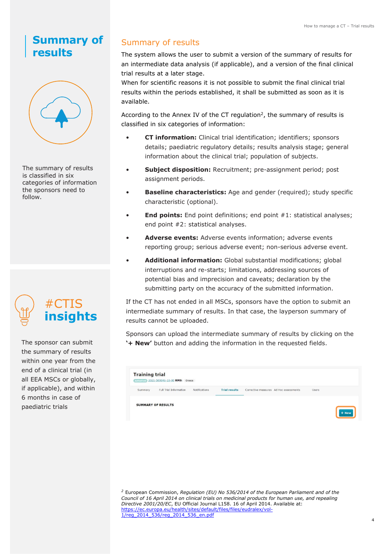### **Summary of results**



The summary of results is classified in six categories of information the sponsors need to follow.



The sponsor can submit the summary of results within one year from the end of a clinical trial (in all EEA MSCs or globally, if applicable), and within 6 months in case of paediatric trials

#### Summary of results

The system allows the user to submit a version of the summary of results for an intermediate data analysis (if applicable), and a version of the final clinical trial results at a later stage.

When for scientific reasons it is not possible to submit the final clinical trial results within the periods established, it shall be submitted as soon as it is available.

According to the Annex IV of the CT regulation<sup>2</sup>, the summary of results is classified in six categories of information:

- **CT information:** Clinical trial identification; identifiers; sponsors details; paediatric regulatory details; results analysis stage; general information about the clinical trial; population of subjects.
- **Subject disposition:** Recruitment; pre-assignment period; post assignment periods.
- **Baseline characteristics:** Age and gender (required); study specific characteristic (optional).
- **End points:** End point definitions; end point #1: statistical analyses; end point #2: statistical analyses.
- **Adverse events:** Adverse events information; adverse events reporting group; serious adverse event; non-serious adverse event.
- **Additional information:** Global substantial modifications; global interruptions and re-starts; limitations, addressing sources of potential bias and imprecision and caveats; declaration by the submitting party on the accuracy of the submitted information.

If the CT has not ended in all MSCs, sponsors have the option to submit an intermediate summary of results. In that case, the layperson summary of results cannot be uploaded.

Sponsors can upload the intermediate summary of results by clicking on the **'+ New'** button and adding the information in the requested fields.

| Full Trial Information<br><b>Trial results</b><br>Corrective measures Ad Hoc assessments<br>Notifications<br>Summary<br><b>Users</b><br><b>SUMMARY OF RESULTS</b> | <b>Training trial</b> | Authorizand 2021-500046-10-00 RMS: Greece |  |  |  |
|-------------------------------------------------------------------------------------------------------------------------------------------------------------------|-----------------------|-------------------------------------------|--|--|--|
|                                                                                                                                                                   |                       |                                           |  |  |  |
|                                                                                                                                                                   |                       |                                           |  |  |  |

*<sup>2</sup>* European Commission, *Regulation (EU) No 536/2014 of the European Parliament and of the Council of 16 April 2014 on clinical trials on medicinal products for human use, and repealing Directive 2001/20/EC*, EU Official Journal L158. 16 of April 2014. Available at: [https://ec.europa.eu/health/sites/default/files/files/eudralex/vol-](https://ec.europa.eu/health/sites/default/files/files/eudralex/vol-1/reg_2014_536/reg_2014_536_en.pdf)[1/reg\\_2014\\_536/reg\\_2014\\_536\\_en.pdf](https://ec.europa.eu/health/sites/default/files/files/eudralex/vol-1/reg_2014_536/reg_2014_536_en.pdf)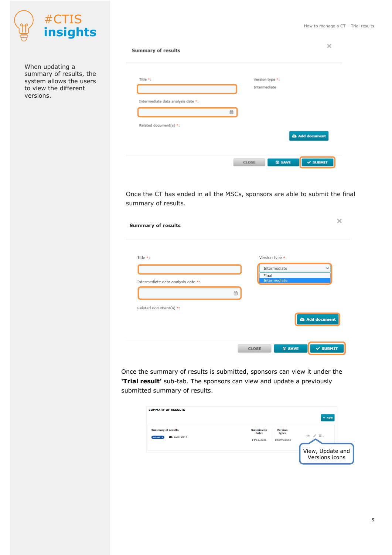

When updating a summary of results, the system allows the users to view the different versions.

| Summary of results                 |   | $\times$                                |
|------------------------------------|---|-----------------------------------------|
| Title *:                           |   | Version type *:<br>Intermediate         |
| Intermediate data analysis date *: |   |                                         |
| Related document(s) *:             | ₿ |                                         |
|                                    |   | <b>Add document</b>                     |
|                                    |   | <b>B</b> SAVE<br>$\vee$ SUBMIT<br>CLOSE |

Once the CT has ended in all the MSCs, sponsors are able to submit the final summary of results.

| <b>Summary of results</b>                      |   | ×                                                                       |
|------------------------------------------------|---|-------------------------------------------------------------------------|
| Title *:<br>Intermediate data analysis date *: |   | Version type *:<br>Intermediate<br>$\check{ }$<br>Final<br>Intermediate |
| Related document(s) *:                         | 曲 | Add document                                                            |
|                                                |   | <b>圖 SAVE</b><br>$\times$ SUBMIT<br><b>CLOSE</b>                        |

Once the summary of results is submitted, sponsors can view it under the **'Trial result'** sub-tab. The sponsors can view and update a previously submitted summary of results.

| <b>SUMMARY OF RESULTS</b>                                            |                                          |                                         | $+$ New                            |
|----------------------------------------------------------------------|------------------------------------------|-----------------------------------------|------------------------------------|
| <b>Summary of results</b><br><b>ID: Sum-0044</b><br><b>Submitted</b> | <b>Submission</b><br>date:<br>14/10/2021 | <b>Version</b><br>type:<br>Intermediate | $\circ$ / $\Box$                   |
|                                                                      |                                          |                                         | View, Update and<br>Versions icons |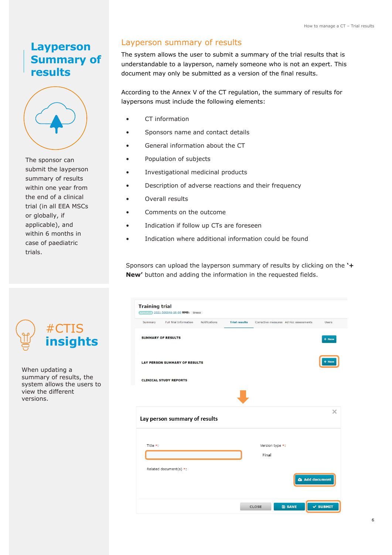## **Layperson Summary of results**



The sponsor can submit the layperson summary of results within one year from the end of a clinical trial (in all EEA MSCs or globally, if applicable), and within 6 months in case of paediatric trials.

#### Layperson summary of results

The system allows the user to submit a summary of the trial results that is understandable to a layperson, namely someone who is not an expert. This document may only be submitted as a version of the final results.

According to the Annex V of the CT regulation, the summary of results for laypersons must include the following elements:

- CT information
- Sponsors name and contact details
- General information about the CT
- Population of subjects
- Investigational medicinal products
- Description of adverse reactions and their frequency
- Overall results
- Comments on the outcome
- Indication if follow up CTs are foreseen
- Indication where additional information could be found

Sponsors can upload the layperson summary of results by clicking on the **'+ New'** button and adding the information in the requested fields.

| Summary  | Full Trial Information               | <b>Notifications</b> | <b>Trial results</b> |                 | Corrective measures Ad Hoc assessments | <b>Users</b> |
|----------|--------------------------------------|----------------------|----------------------|-----------------|----------------------------------------|--------------|
|          | <b>SUMMARY OF RESULTS</b>            |                      |                      |                 |                                        | + New        |
|          | <b>LAY PERSON SUMMARY OF RESULTS</b> |                      |                      |                 |                                        | + New        |
|          | <b>CLINICAL STUDY REPORTS</b>        |                      |                      |                 |                                        |              |
|          |                                      |                      |                      |                 |                                        |              |
|          | Lay person summary of results        |                      |                      |                 |                                        |              |
|          |                                      |                      |                      | Version type *: |                                        |              |
| Title *: |                                      |                      |                      |                 |                                        |              |
|          |                                      |                      |                      | Final           |                                        |              |
|          | Related document(s) *:               |                      |                      |                 |                                        |              |
|          |                                      |                      |                      |                 | <b>Add document</b>                    |              |



When updating a summary of results, the system allows the users to view the different versions.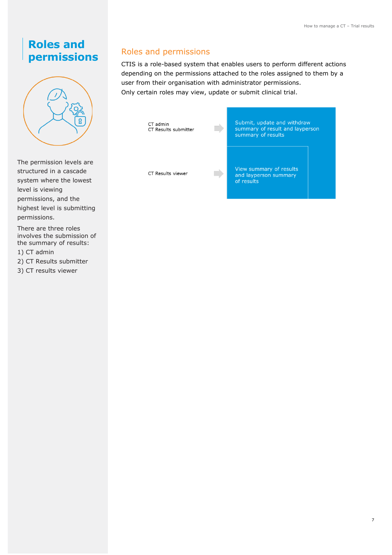# **Roles and permissions**



The permission levels are structured in a cascade system where the lowest level is viewing permissions, and the highest level is submitting permissions.

There are three roles involves the submission of the summary of results:

1) CT admin

2) CT Results submitter

3) CT results viewer

#### Roles and permissions

CTIS is a role-based system that enables users to perform different actions depending on the permissions attached to the roles assigned to them by a user from their organisation with administrator permissions. Only certain roles may view, update or submit clinical trial.